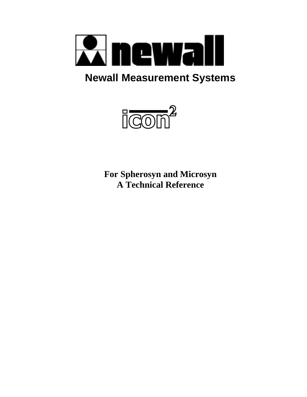

# **Newall Measurement Systems**



**For Spherosyn and Microsyn A Technical Reference**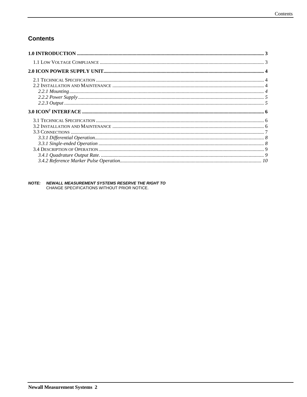## **Contents**

| 2.1 TECHNICAE BLECH (CALLON) WARRIENANCE WARRANTER AND THE CONTROL CONTROL OF A 4 |  |
|-----------------------------------------------------------------------------------|--|
|                                                                                   |  |
|                                                                                   |  |
|                                                                                   |  |
|                                                                                   |  |
|                                                                                   |  |
|                                                                                   |  |
|                                                                                   |  |
|                                                                                   |  |
|                                                                                   |  |

# **NOTE: NEWALL MEASUREMENT SYSTEMS RESERVE THE RIGHT TO**<br>CHANGE SPECIFICATIONS WITHOUT PRIOR NOTICE.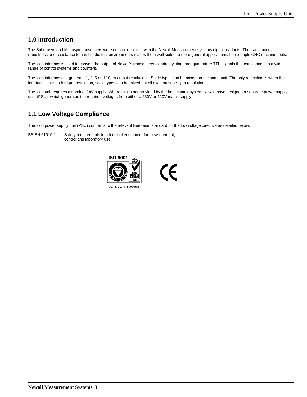## <span id="page-2-0"></span>**1.0 Introduction**

The Spherosyn and Microsyn transducers were designed for use with the Newall Measurement systems digital readouts. The transducers robustness and resistance to harsh industrial environments makes them well suited to more general applications, for example CNC machine tools.

The Icon interface is used to convert the output of Newall's transducers to industry standard, quadrature TTL, signals that can connect to a wide range of control systems and counters.

The Icon interface can generate 1, 2, 5 and 10µm output resolutions. Scale types can be mixed on the same unit. The only restriction is when the interface is set-up for 1µm resolution, scale types can be mixed but all axes must be 1µm resolution.

The Icon unit requires a nominal 24V supply. Where this is not provided by the host control system Newall have designed a separate power supply unit, (PSU), which generates the required voltages from either a 230V or 110V mains supply.

## **1.1 Low Voltage Compliance**

The Icon power supply unit (PSU) conforms to the relevant European standard for the low voltage directive as detailed below.

BS EN 61010-1: Safety requirements for electrical equipment for measurement, control and laboratory use.



Certificate No FM36096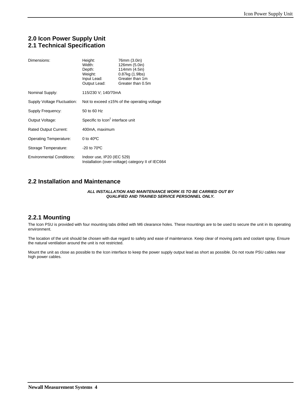## <span id="page-3-0"></span>**2.0 Icon Power Supply Unit 2.1 Technical Specification**

| Dimensions:                      | Height:<br>Width:<br>Depth:<br>Weight:<br>Input Lead:<br>Output Lead: | 76mm (3.0in)<br>126mm (5.0in)<br>114mm (4.5in)<br>0.87kg (1.9lbs)<br>Greater than 1m<br>Greater than 0.5m |  |  |  |
|----------------------------------|-----------------------------------------------------------------------|-----------------------------------------------------------------------------------------------------------|--|--|--|
| Nominal Supply:                  | 115/230 V: 140/70mA                                                   |                                                                                                           |  |  |  |
| Supply Voltage Fluctuation:      | Not to exceed $\pm 15\%$ of the operating voltage                     |                                                                                                           |  |  |  |
| Supply Frequency:                | 50 to 60 Hz                                                           |                                                                                                           |  |  |  |
| Output Voltage:                  | Specific to Icon <sup>2</sup> interface unit                          |                                                                                                           |  |  |  |
| Rated Output Current:            | 400mA, maximum                                                        |                                                                                                           |  |  |  |
| Operating Temperature:           | 0 to $40^{\circ}$ C                                                   |                                                                                                           |  |  |  |
| Storage Temperature:             | $-20$ to $70^{\circ}$ C                                               |                                                                                                           |  |  |  |
| <b>Environmental Conditions:</b> | Indoor use, IP20 (IEC 529)                                            | Installation (over-voltage) category II of IEC664                                                         |  |  |  |

## **2.2 Installation and Maintenance**

#### *ALL INSTALLATION AND MAINTENANCE WORK IS TO BE CARRIED OUT BY QUALIFIED AND TRAINED SERVICE PERSONNEL ONLY.*

#### **2.2.1 Mounting**

The Icon PSU is provided with four mounting tabs drilled with M6 clearance holes. These mountings are to be used to secure the unit in its operating environment.

The location of the unit should be chosen with due regard to safety and ease of maintenance. Keep clear of moving parts and coolant spray. Ensure the natural ventilation around the unit is not restricted.

Mount the unit as close as possible to the Icon interface to keep the power supply output lead as short as possible. Do not route PSU cables near high power cables.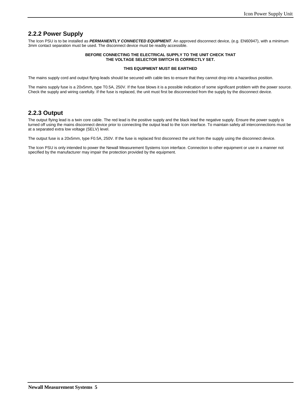### <span id="page-4-0"></span>**2.2.2 Power Supply**

The Icon PSU is to be installed as *PERMANENTLY CONNECTED EQUIPMENT*. An approved disconnect device, (e.g. EN60947), with a minimum 3mm contact separation must be used. The disconnect device must be readily accessible.

#### **BEFORE CONNECTING THE ELECTRICAL SUPPLY TO THE UNIT CHECK THAT THE VOLTAGE SELECTOR SWITCH IS CORRECTLY SET.**

#### **THIS EQUIPMENT MUST BE EARTHED**

The mains supply cord and output flying-leads should be secured with cable ties to ensure that they cannot drop into a hazardous position.

The mains supply fuse is a 20x5mm, type T0.5A, 250V. If the fuse blows it is a possible indication of some significant problem with the power source. Check the supply and wiring carefully. If the fuse is replaced, the unit must first be disconnected from the supply by the disconnect device.

#### **2.2.3 Output**

The output flying lead is a twin core cable. The red lead is the positive supply and the black lead the negative supply. Ensure the power supply is turned off using the mains disconnect device prior to connecting the output lead to the Icon interface. To maintain safety all interconnections must be at a separated extra low voltage (SELV) level.

The output fuse is a 20x5mm, type F0.5A, 250V. If the fuse is replaced first disconnect the unit from the supply using the disconnect device.

The Icon PSU is only intended to power the Newall Measurement Systems Icon interface. Connection to other equipment or use in a manner not specified by the manufacturer may impair the protection provided by the equipment.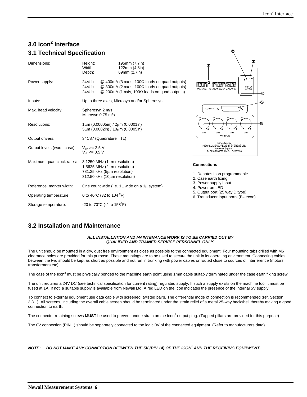$\mathbb{Q}$ 

## <span id="page-5-0"></span>**3.0 Icon<sup>2</sup> Interface 3.1 Technical Specification**

| Dimensions:                 | Height:<br>Width:<br>Depth:                   | 195mm (7.7in)<br>122mm (4.8in)<br>69mm (2.7in)                                                                                                                         | ₾                                                                                                             |  |  |  |
|-----------------------------|-----------------------------------------------|------------------------------------------------------------------------------------------------------------------------------------------------------------------------|---------------------------------------------------------------------------------------------------------------|--|--|--|
| Power supply:               | 24Vdc<br>24Vdc<br>24Vdc                       | $@$ 400mA (3 axes, 100 $\Omega$ loads on quad outputs)<br>@ 300mA (2 axes, 100 $\Omega$ loads on quad outputs)<br>@ 200mA (1 axis, 100 $\Omega$ loads on quad outputs) | $\epsilon$ of $\uparrow$<br><b>SUPPLY</b><br>24V.D.C<br>FOR NEWALL SPHEROSYN AND MICROSYN<br>⊕                |  |  |  |
| Inputs:                     |                                               | Up to three axes, Microsyn and/or Spherosyn                                                                                                                            | O                                                                                                             |  |  |  |
| Max. head velocity:         | Spherosyn 2 m/s<br>Microsyn 0.75 m/s          |                                                                                                                                                                        | OUTPUTS O<br>$\circ$                                                                                          |  |  |  |
| Resolutions:                |                                               | $1\mu$ m (0.00005in) / $2\mu$ m (0.0001in)<br>5um (0.0002in) / 10um (0.0005in)                                                                                         | -ග<br><b>CHI</b><br>CНЗ<br>CH4<br>CH <sub>2</sub>                                                             |  |  |  |
| Output drivers:             |                                               | 34C87 (Quadrature TTL)                                                                                                                                                 | AXIS INPUTS                                                                                                   |  |  |  |
| Output levels (worst case): | $V_{\text{OH}}$ >= 2.5 V<br>$V_{ol}$ <= 0.5 V |                                                                                                                                                                        | Manufactured by<br>NEWALL MEASUREMENT SYSTEMS LTD<br>Leicester. England.<br>Tel.0116 2833899 Fax.0116 2835530 |  |  |  |
| Maximum quad clock rates:   |                                               | $3.1250$ MHz (1 $\mu$ m resolution)<br>1.5625 MHz ( $2\mu$ m resolution)<br>781.25 kHz (5µm resolution)<br>312.50 kHz (10um resolution)                                | <b>Connections</b><br>1. Denotes Icon programmable<br>2. Case earth fixing                                    |  |  |  |
| Reference: marker width:    |                                               | One count wide (I.e. $1\mu$ wide on a $1\mu$ system)                                                                                                                   | 3. Power supply input<br>4. Power on LED                                                                      |  |  |  |
| Operating temperature:      |                                               | 0 to 40°C (32 to 104 °F)                                                                                                                                               | 5. Output port (25 way D type)<br>6. Transducer input ports (Bleecon)                                         |  |  |  |
| Storage temperature:        |                                               | $-20$ to 70 $\degree$ C (-4 to 158 $\degree$ F)                                                                                                                        |                                                                                                               |  |  |  |

#### **3.2 Installation and Maintenance**

#### *ALL INSTALLATION AND MAINTENANCE WORK IS TO BE CARRIED OUT BY QUALIFIED AND TRAINED SERVICE PERSONNEL ONLY.*

The unit should be mounted in a dry, dust free environment as close as possible to the connected equipment. Four mounting tabs drilled with M6 clearance holes are provided for this purpose. These mountings are to be used to secure the unit in its operating environment. Connecting cables between the two should be kept as short as possible and not run in trunking with power cables or routed close to sources of interference (motors, transformers etc).

The case of the Icon<sup>2</sup> must be physically bonded to the machine earth point using 1mm cable suitably terminated under the case earth fixing screw.

The unit requires a 24V DC (see technical specification for current rating) regulated supply. If such a supply exists on the machine tool it must be fused at 1A. If not, a suitable supply is available from Newall Ltd. A red LED on the Icon indicates the presence of the internal 5V supply.

To connect to external equipment use data cable with screened, twisted pairs. The differential mode of connection is recommended (ref. Section 3.3.1). All screens, including the overall cable screen should be terminated under the strain relief of a metal 25-way backshell thereby making a good connection to earth.

The connector retaining screws MUST be used to prevent undue strain on the Icon<sup>2</sup> output plug. (Tapped pillars are provided for this purpose)

The 0V connection (PIN 1) should be separately connected to the logic 0V of the connected equipment. (Refer to manufacturers data).

*NOTE: DO NOT MAKE ANY CONNECTION BETWEEN THE 5V (PIN 14) OF THE ICON2 AND THE RECEIVING EQUIPMENT.*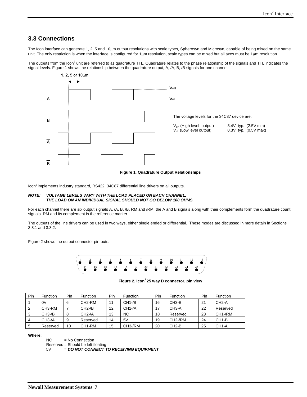#### <span id="page-6-0"></span>**3.3 Connections**

The Icon interface can generate 1, 2, 5 and 10µm output resolutions with scale types, Spherosyn and Microsyn, capable of being mixed on the same unit. The only restriction is when the interface is configured for 1µm resolution, scale types can be mixed but all axes must be 1µm resolution.

The outputs from the Icon<sup>2</sup> unit are referred to as quadrature TTL. Quadrature relates to the phase relationship of the signals and TTL indicates the signal levels. Figure 1 shows the relationship between the quadrature output, A, /A, B, /B signals for one channel.



**Figure 1. Quadrature Output Relationships** 

Icon<sup>2</sup> implements industry standard, RS422, 34C87 differential line drivers on all outputs.

#### *NOTE: VOLTAGE LEVELS VARY WITH THE LOAD PLACED ON EACH CHANNEL. THE LOAD ON AN INDIVIDUAL SIGNAL SHOULD NOT GO BELOW 100 OHMS.*

For each channel there are six output signals A, /A, B, /B, RM and /RM, the A and B signals along with their complements form the quadrature count signals. RM and its complement is the reference marker.

The outputs of the line drivers can be used in two ways, either single ended or differential. These modes are discussed in more detain in Sections 3.3.1 and 3.3.2.

Figure 2 shows the output connector pin-outs.



Figure 2. Icon<sup>2</sup> 25 way D connector, pin view

| Pin            | <b>Function</b>     | Pin | <b>Function</b> | Pin | <b>Function</b> | Pin | Function             | Pin | <b>Function</b>      |
|----------------|---------------------|-----|-----------------|-----|-----------------|-----|----------------------|-----|----------------------|
|                | 0V                  | 6   | CH2-RM          | 11  | $CH1 - / B$     | 16  | CH <sub>3</sub> -B   | 21  | $CH2-A$              |
| 2              | CH <sub>3</sub> -RM |     | $CH2-/B$        | 12  | $CH1-A$         | 17  | CH <sub>3</sub> -A   | 22  | Reserved             |
| -3             | $CH3-/B$            | 8   | $CH2-A$         | 13  | <b>NC</b>       | 18  | Reserved             | 23  | CH <sub>1</sub> -/RM |
| $\overline{4}$ | $CH3-A$             | 9   | Reserved        | 14  | 5V              | 19  | CH <sub>2</sub> -/RM | 24  | CH <sub>1</sub> -B   |
| 5              | Reserved            | 10  | CH1-RM          | 15  | CH3-/RM         | 20  | CH <sub>2</sub> -B   | 25  | CH <sub>1</sub> -A   |

#### **Where:**

NC = No Connection

Reserved = Should be left floating

5V = *DO NOT CONNECT TO RECEIVING EQUIPMENT*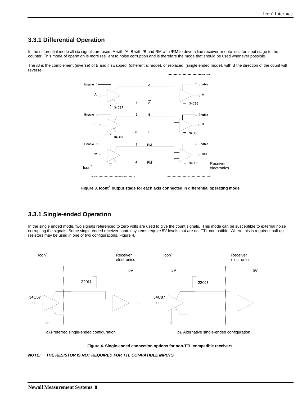## <span id="page-7-0"></span>**3.3.1 Differential Operation**

In the differential mode all six signals are used, A with /A, B with /B and RM with /RM to drive a line receiver or opto-isolator input stage to the counter. This mode of operation is more resilient to noise corruption and is therefore the mode that should be used whenever possible.

The /B is the complement (inverse) of B and if swapped, (differential mode), or replaced, (single ended mode), with B the direction of the count will reverse.



Figure 3. Icont<sup>2</sup> output stage for each axis connected in differential operating mode

## **3.3.1 Single-ended Operation**

In the single ended mode, two signals referenced to zero volts are used to give the count signals. This mode can be susceptible to external noise corrupting the signals. Some single-ended receiver control systems require 5V levels that are not TTL compatible. Where this is required 'pull-up' resistors may be used in one of two configurations. Figure 4.



**Figure 4. Single-ended connection options for non-TTL compatible receivers.** 

*NOTE: THE RESISTOR IS NOT REQUIRED FOR TTL COMPATIBLE INPUTS*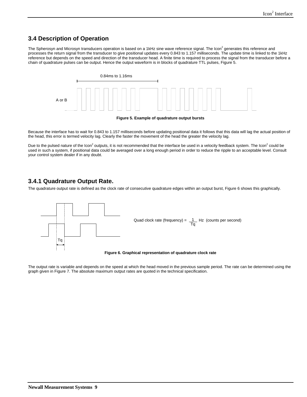## <span id="page-8-0"></span>**3.4 Description of Operation**

The Spherosyn and Microsyn transducers operation is based on a 1kHz sine wave reference signal. The Icon<sup>2</sup> generates this reference and processes the return signal from the transducer to give positional updates every 0.843 to 1.157 milliseconds. The update time is linked to the 1kHz reference but depends on the speed and direction of the transducer head. A finite time is required to process the signal from the transducer before a chain of quadrature pulses can be output. Hence the output waveform is in blocks of quadrature TTL pulses, Figure 5.



Because the interface has to wait for 0.843 to 1.157 milliseconds before updating positional data it follows that this data will lag the actual position of the head, this error is termed velocity lag. Clearly the faster the movement of the head the greater the velocity lag.

Due to the pulsed nature of the Icon<sup>2</sup> outputs, it is not recommended that the interface be used in a velocity feedback system. The Icon<sup>2</sup> could be used in such a system, if positional data could be averaged over a long enough period in order to reduce the ripple to an acceptable level. Consult your control system dealer if in any doubt.

### **3.4.1 Quadrature Output Rate.**

The quadrature output rate is defined as the clock rate of consecutive quadrature edges within an output burst, Figure 6 shows this graphically.



**Figure 6. Graphical representation of quadrature clock rate** 

The output rate is variable and depends on the speed at which the head moved in the previous sample period. The rate can be determined using the graph given in Figure 7. The absolute maximum output rates are quoted in the technical specification.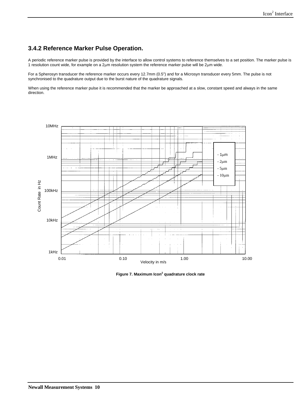## <span id="page-9-0"></span>**3.4.2 Reference Marker Pulse Operation.**

A periodic reference marker pulse is provided by the interface to allow control systems to reference themselves to a set position. The marker pulse is 1 resolution count wide, for example on a 2µm resolution system the reference marker pulse will be 2µm wide.

For a Spherosyn transducer the reference marker occurs every 12.7mm (0.5") and for a Microsyn transducer every 5mm. The pulse is not synchronised to the quadrature output due to the burst nature of the quadrature signals.

When using the reference marker pulse it is recommended that the marker be approached at a slow, constant speed and always in the same direction.



**Figure 7. Maximum Icon2 quadrature clock rate**